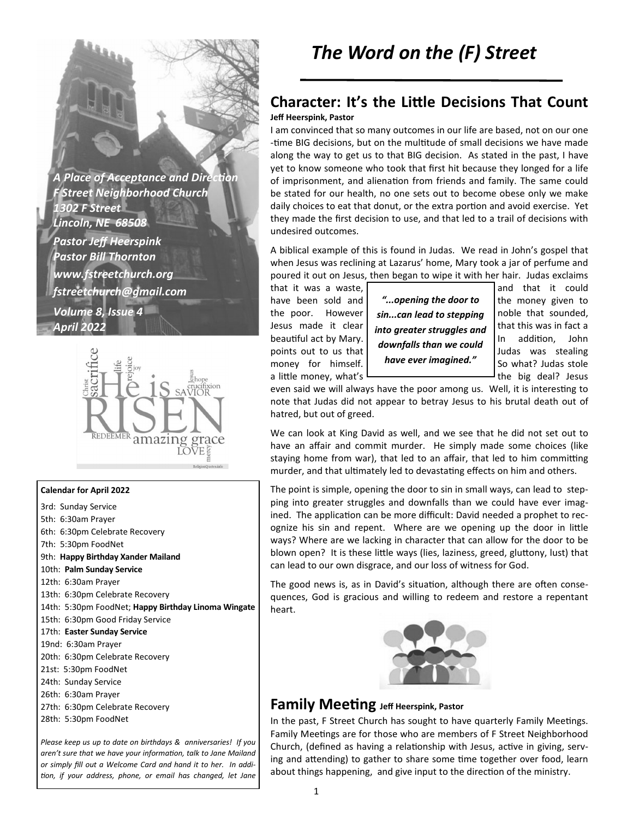**A Place of Acceptance and Direction** *F Street Neighborhood Church 1302 F Street Lincoln, NE 68508 Pastor Jeff Heerspink Pastor Bill Thornton www.fstreetchurch.org fstreetchurch@gmail.com Volume 8, Issue 4 April 2022* 



#### **Calendar for April 2022**

3rd: Sunday Service 5th: 6:30am Prayer 6th: 6:30pm Celebrate Recovery 7th: 5:30pm FoodNet 9th: **Happy Birthday Xander Mailand**  10th: **Palm Sunday Service**  12th: 6:30am Prayer 13th: 6:30pm Celebrate Recovery 14th: 5:30pm FoodNet; **Happy Birthday Linoma Wingate**  15th: 6:30pm Good Friday Service 17th: **Easter Sunday Service**  19nd: 6:30am Prayer 20th: 6:30pm Celebrate Recovery 21st: 5:30pm FoodNet 24th: Sunday Service 26th: 6:30am Prayer 27th: 6:30pm Celebrate Recovery 28th: 5:30pm FoodNet

*Please keep us up to date on birthdays & anniversaries! If you*  aren't sure that we have your information, talk to Jane Mailand *or simply fill out a Welcome Card and hand it to her. In addi on, if your address, phone, or email has changed, let Jane* 

### **Character: It's the Little Decisions That Count Jeff Heerspink, Pastor**

I am convinced that so many outcomes in our life are based, not on our one -time BIG decisions, but on the multitude of small decisions we have made along the way to get us to that BIG decision. As stated in the past, I have yet to know someone who took that first hit because they longed for a life of imprisonment, and alienation from friends and family. The same could be stated for our health, no one sets out to become obese only we make daily choices to eat that donut, or the extra portion and avoid exercise. Yet they made the first decision to use, and that led to a trail of decisions with undesired outcomes.

A biblical example of this is found in Judas. We read in John's gospel that when Jesus was reclining at Lazarus' home, Mary took a jar of perfume and poured it out on Jesus, then began to wipe it with her hair. Judas exclaims

a little money, what's  $\Box$  a little money, what's  $\Box$ 



even said we will always have the poor among us. Well, it is interesting to note that Judas did not appear to betray Jesus to his brutal death out of hatred, but out of greed.

We can look at King David as well, and we see that he did not set out to have an affair and commit murder. He simply made some choices (like staying home from war), that led to an affair, that led to him committing murder, and that ultimately led to devastating effects on him and others.

The point is simple, opening the door to sin in small ways, can lead to stepping into greater struggles and downfalls than we could have ever imagined. The application can be more difficult: David needed a prophet to recognize his sin and repent. Where are we opening up the door in little ways? Where are we lacking in character that can allow for the door to be blown open? It is these little ways (lies, laziness, greed, gluttony, lust) that can lead to our own disgrace, and our loss of witness for God.

The good news is, as in David's situation, although there are often consequences, God is gracious and willing to redeem and restore a repentant heart.



### **Family Meeting** Jeff Heerspink, Pastor

In the past, F Street Church has sought to have quarterly Family Meetings. Family Meetings are for those who are members of F Street Neighborhood Church, (defined as having a relationship with Jesus, active in giving, serving and attending) to gather to share some time together over food, learn about things happening, and give input to the direction of the ministry.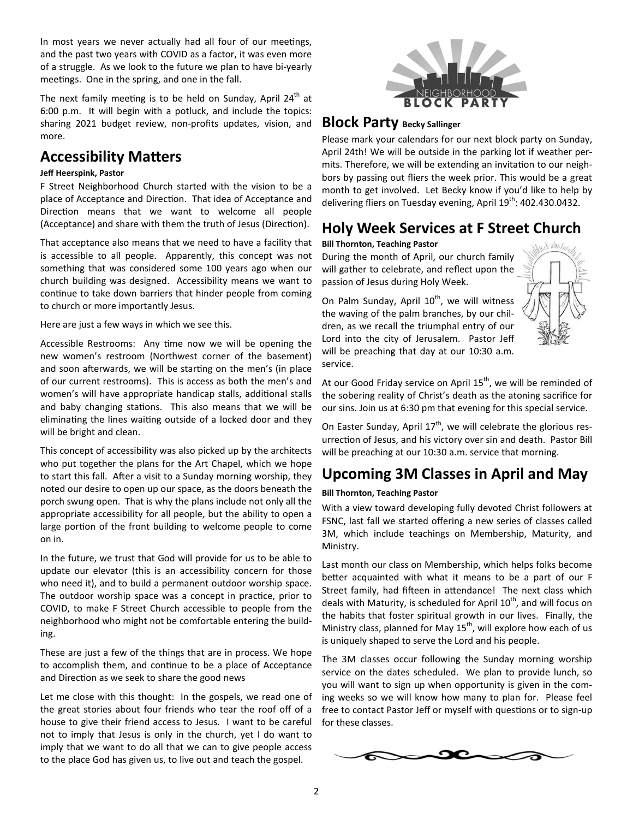In most years we never actually had all four of our meetings, and the past two years with COVID as a factor, it was even more of a struggle. As we look to the future we plan to have bi-yearly meetings. One in the spring, and one in the fall.

The next family meeting is to be held on Sunday, April  $24<sup>th</sup>$  at 6:00 p.m. It will begin with a potluck, and include the topics: sharing 2021 budget review, non-profits updates, vision, and more.

# **Accessibility Matters**

### **Jeff Heerspink, Pastor**

F Street Neighborhood Church started with the vision to be a place of Acceptance and Direction. That idea of Acceptance and Direction means that we want to welcome all people (Acceptance) and share with them the truth of Jesus (Direction).

That acceptance also means that we need to have a facility that is accessible to all people. Apparently, this concept was not something that was considered some 100 years ago when our church building was designed. Accessibility means we want to continue to take down barriers that hinder people from coming to church or more importantly Jesus.

Here are just a few ways in which we see this.

Accessible Restrooms: Any time now we will be opening the new women's restroom (Northwest corner of the basement) and soon afterwards, we will be starting on the men's (in place of our current restrooms). This is access as both the men's and women's will have appropriate handicap stalls, additional stalls and baby changing stations. This also means that we will be eliminating the lines waiting outside of a locked door and they will be bright and clean.

This concept of accessibility was also picked up by the architects who put together the plans for the Art Chapel, which we hope to start this fall. After a visit to a Sunday morning worship, they noted our desire to open up our space, as the doors beneath the porch swung open. That is why the plans include not only all the appropriate accessibility for all people, but the ability to open a large portion of the front building to welcome people to come on in.

In the future, we trust that God will provide for us to be able to update our elevator (this is an accessibility concern for those who need it), and to build a permanent outdoor worship space. The outdoor worship space was a concept in practice, prior to COVID, to make F Street Church accessible to people from the neighborhood who might not be comfortable entering the building.

These are just a few of the things that are in process. We hope to accomplish them, and continue to be a place of Acceptance and Direction as we seek to share the good news

Let me close with this thought: In the gospels, we read one of the great stories about four friends who tear the roof off of a house to give their friend access to Jesus. I want to be careful not to imply that Jesus is only in the church, yet I do want to imply that we want to do all that we can to give people access to the place God has given us, to live out and teach the gospel.



### **Block Party Becky Sallinger**

Please mark your calendars for our next block party on Sunday, April 24th! We will be outside in the parking lot if weather permits. Therefore, we will be extending an invitation to our neighbors by passing out fliers the week prior. This would be a great month to get involved. Let Becky know if you'd like to help by delivering fliers on Tuesday evening, April 19<sup>th</sup>: 402.430.0432.

# **Holy Week Services at F Street Church**

### **Bill Thornton, Teaching Pastor**

During the month of April, our church family will gather to celebrate, and reflect upon the passion of Jesus during Holy Week.

On Palm Sunday, April  $10^{th}$ , we will witness the waving of the palm branches, by our children, as we recall the triumphal entry of our Lord into the city of Jerusalem. Pastor Jeff will be preaching that day at our 10:30 a.m. service.



At our Good Friday service on April  $15^{th}$ , we will be reminded of the sobering reality of Christ's death as the atoning sacrifice for our sins. Join us at 6:30 pm that evening for this special service.

On Easter Sunday, April  $17<sup>th</sup>$ , we will celebrate the glorious resurrection of Jesus, and his victory over sin and death. Pastor Bill will be preaching at our 10:30 a.m. service that morning.

# **Upcoming 3M Classes in April and May**

### **Bill Thornton, Teaching Pastor**

With a view toward developing fully devoted Christ followers at FSNC, last fall we started offering a new series of classes called 3M, which include teachings on Membership, Maturity, and Ministry.

Last month our class on Membership, which helps folks become better acquainted with what it means to be a part of our F Street family, had fifteen in attendance! The next class which deals with Maturity, is scheduled for April  $10^{th}$ , and will focus on the habits that foster spiritual growth in our lives. Finally, the Ministry class, planned for May  $15^{th}$ , will explore how each of us is uniquely shaped to serve the Lord and his people.

The 3M classes occur following the Sunday morning worship service on the dates scheduled. We plan to provide lunch, so you will want to sign up when opportunity is given in the coming weeks so we will know how many to plan for. Please feel free to contact Pastor Jeff or myself with questions or to sign-up for these classes.

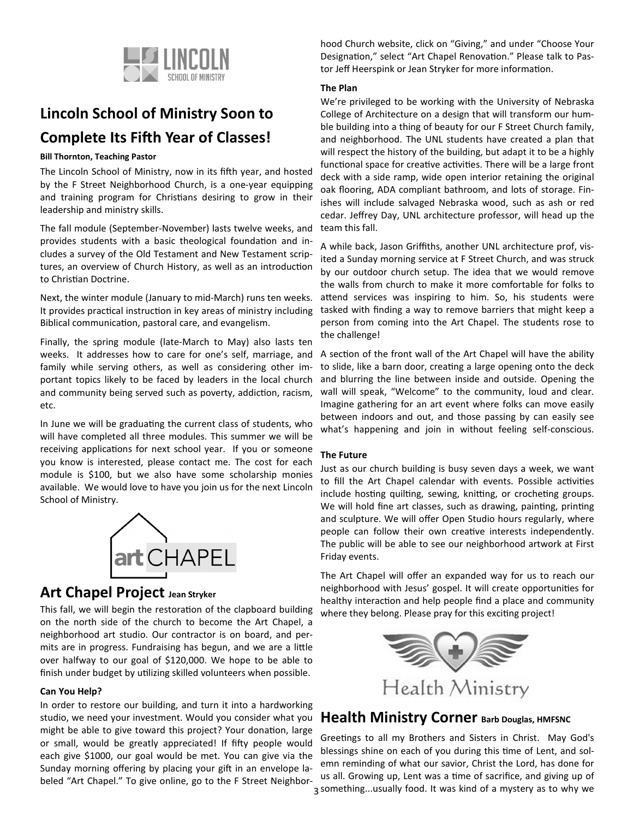

# **Lincoln School of Ministry Soon to Complete Its Fifth Year of Classes!**

#### **Bill Thornton, Teaching Pastor**

The Lincoln School of Ministry, now in its fifth year, and hosted by the F Street Neighborhood Church, is a one-year equipping and training program for Christians desiring to grow in their leadership and ministry skills.

The fall module (September-November) lasts twelve weeks, and provides students with a basic theological foundation and includes a survey of the Old Testament and New Testament scriptures, an overview of Church History, as well as an introduction to Christian Doctrine.

Next, the winter module (January to mid-March) runs ten weeks. It provides practical instruction in key areas of ministry including Biblical communication, pastoral care, and evangelism.

Finally, the spring module (late-March to May) also lasts ten weeks. It addresses how to care for one's self, marriage, and family while serving others, as well as considering other important topics likely to be faced by leaders in the local church and community being served such as poverty, addiction, racism, etc.

In June we will be graduating the current class of students, who will have completed all three modules. This summer we will be receiving applications for next school year. If you or someone you know is interested, please contact me. The cost for each module is \$100, but we also have some scholarship monies available. We would love to have you join us for the next Lincoln School of Ministry.



### **Art Chapel Project Jean Stryker**

This fall, we will begin the restoration of the clapboard building on the north side of the church to become the Art Chapel, a neighborhood art studio. Our contractor is on board, and permits are in progress. Fundraising has begun, and we are a little over halfway to our goal of \$120,000. We hope to be able to finish under budget by utilizing skilled volunteers when possible.

### **Can You Help?**

In order to restore our building, and turn it into a hardworking studio, we need your investment. Would you consider what you might be able to give toward this project? Your donation, large or small, would be greatly appreciated! If fifty people would each give \$1000, our goal would be met. You can give via the Sunday morning offering by placing your gift in an envelope labeled "Art Chapel." To give online, go to the F Street Neighbor-

hood Church website, click on "Giving," and under "Choose Your Designation," select "Art Chapel Renovation." Please talk to Pastor Jeff Heerspink or Jean Stryker for more information.

### **The Plan**

We're privileged to be working with the University of Nebraska College of Architecture on a design that will transform our humble building into a thing of beauty for our F Street Church family, and neighborhood. The UNL students have created a plan that will respect the history of the building, but adapt it to be a highly functional space for creative activities. There will be a large front deck with a side ramp, wide open interior retaining the original oak flooring, ADA compliant bathroom, and lots of storage. Finishes will include salvaged Nebraska wood, such as ash or red cedar. Jeffrey Day, UNL architecture professor, will head up the team this fall.

A while back, Jason Griffiths, another UNL architecture prof, visited a Sunday morning service at F Street Church, and was struck by our outdoor church setup. The idea that we would remove the walls from church to make it more comfortable for folks to attend services was inspiring to him. So, his students were tasked with finding a way to remove barriers that might keep a person from coming into the Art Chapel. The students rose to the challenge!

A section of the front wall of the Art Chapel will have the ability to slide, like a barn door, creating a large opening onto the deck and blurring the line between inside and outside. Opening the wall will speak, "Welcome" to the community, loud and clear. Imagine gathering for an art event where folks can move easily between indoors and out, and those passing by can easily see what's happening and join in without feeling self-conscious.

### **The Future**

Just as our church building is busy seven days a week, we want to fill the Art Chapel calendar with events. Possible activities include hosting quilting, sewing, knitting, or crocheting groups. We will hold fine art classes, such as drawing, painting, printing and sculpture. We will offer Open Studio hours regularly, where people can follow their own creative interests independently. The public will be able to see our neighborhood artwork at First Friday events.

The Art Chapel will offer an expanded way for us to reach our neighborhood with Jesus' gospel. It will create opportunities for healthy interaction and help people find a place and community where they belong. Please pray for this exciting project!



### **Health Ministry Corner Barb Douglas, HMFSNC**

3 something...usually food. It was kind of a mystery as to why we Greetings to all my Brothers and Sisters in Christ. May God's blessings shine on each of you during this time of Lent, and solemn reminding of what our savior, Christ the Lord, has done for us all. Growing up, Lent was a time of sacrifice, and giving up of